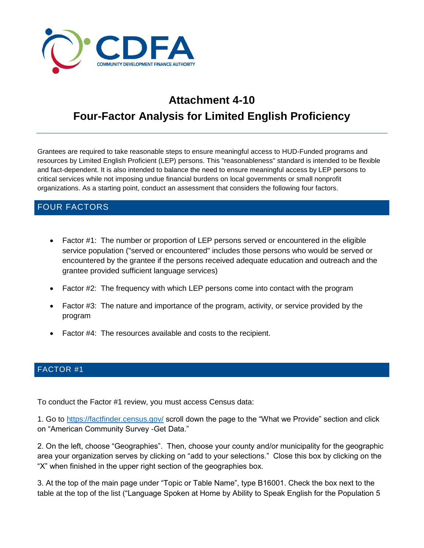

# **Attachment 4-10 Four-Factor Analysis for Limited English Proficiency**

Grantees are required to take reasonable steps to ensure meaningful access to HUD-Funded programs and resources by Limited English Proficient (LEP) persons. This "reasonableness" standard is intended to be flexible and fact-dependent. It is also intended to balance the need to ensure meaningful access by LEP persons to critical services while not imposing undue financial burdens on local governments or small nonprofit organizations. As a starting point, conduct an assessment that considers the following four factors.

# FOUR FACTORS

- Factor #1: The number or proportion of LEP persons served or encountered in the eligible service population ("served or encountered" includes those persons who would be served or encountered by the grantee if the persons received adequate education and outreach and the grantee provided sufficient language services)
- Factor #2: The frequency with which LEP persons come into contact with the program
- Factor #3: The nature and importance of the program, activity, or service provided by the program
- Factor #4: The resources available and costs to the recipient.

### FACTOR #1

To conduct the Factor #1 review, you must access Census data:

1. Go to<https://factfinder.census.gov/> scroll down the page to the "What we Provide" section and click on "American Community Survey -Get Data."

2. On the left, choose "Geographies". Then, choose your county and/or municipality for the geographic area your organization serves by clicking on "add to your selections." Close this box by clicking on the "X" when finished in the upper right section of the geographies box.

3. At the top of the main page under "Topic or Table Name", type B16001. Check the box next to the table at the top of the list ("Language Spoken at Home by Ability to Speak English for the Population 5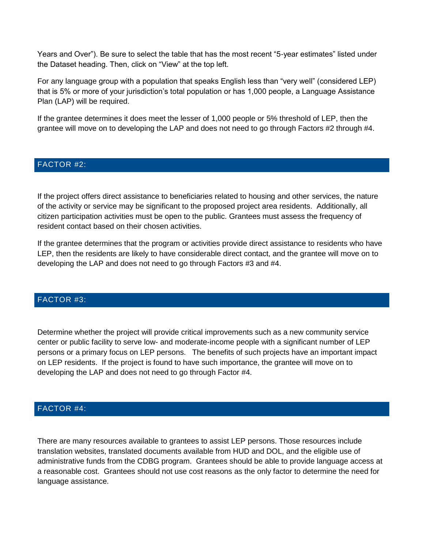Years and Over"). Be sure to select the table that has the most recent "5-year estimates" listed under the Dataset heading. Then, click on "View" at the top left.

For any language group with a population that speaks English less than "very well" (considered LEP) that is 5% or more of your jurisdiction's total population or has 1,000 people, a Language Assistance Plan (LAP) will be required.

If the grantee determines it does meet the lesser of 1,000 people or 5% threshold of LEP, then the grantee will move on to developing the LAP and does not need to go through Factors #2 through #4.

### FACTOR #2:

If the project offers direct assistance to beneficiaries related to housing and other services, the nature of the activity or service may be significant to the proposed project area residents. Additionally, all citizen participation activities must be open to the public. Grantees must assess the frequency of resident contact based on their chosen activities.

If the grantee determines that the program or activities provide direct assistance to residents who have LEP, then the residents are likely to have considerable direct contact, and the grantee will move on to developing the LAP and does not need to go through Factors #3 and #4.

#### FACTOR #3:

Determine whether the project will provide critical improvements such as a new community service center or public facility to serve low- and moderate-income people with a significant number of LEP persons or a primary focus on LEP persons. The benefits of such projects have an important impact on LEP residents. If the project is found to have such importance, the grantee will move on to developing the LAP and does not need to go through Factor #4.

#### FACTOR #4:

There are many resources available to grantees to assist LEP persons. Those resources include translation websites, translated documents available from HUD and DOL, and the eligible use of administrative funds from the CDBG program. Grantees should be able to provide language access at a reasonable cost. Grantees should not use cost reasons as the only factor to determine the need for language assistance.